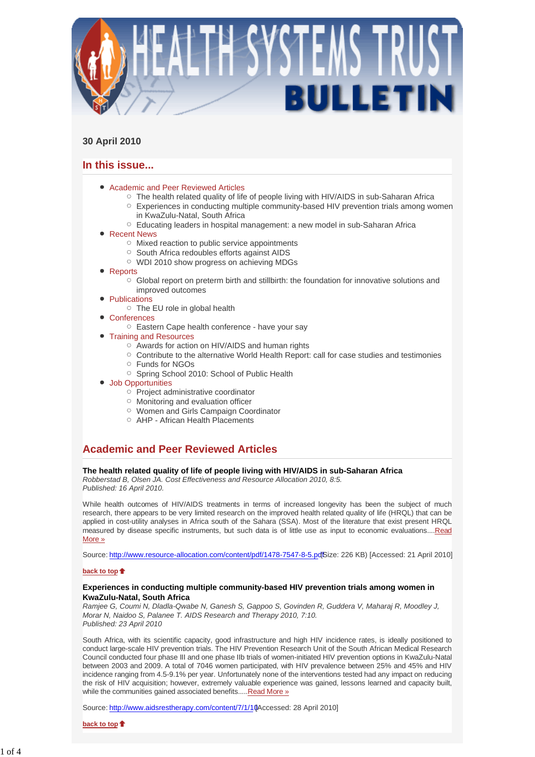

## **30 April 2010**

# **In this issue...**

- Academic and Peer Reviewed Articles
	- $\circ$  The health related quality of life of people living with HIV/AIDS in sub-Saharan Africa
		- $\circ$  Experiences in conducting multiple community-based HIV prevention trials among women in KwaZulu-Natal, South Africa
	- Educating leaders in hospital management: a new model in sub-Saharan Africa
- Recent News
	- o Mixed reaction to public service appointments
	- South Africa redoubles efforts against AIDS
	- WDI 2010 show progress on achieving MDGs
- Reports
	- Global report on preterm birth and stillbirth: the foundation for innovative solutions and improved outcomes
- Publications
	- The EU role in global health
- **Conferences** 
	- Eastern Cape health conference have your say
- Training and Resources
	- Awards for action on HIV/AIDS and human rights
	- $\circ$  Contribute to the alternative World Health Report: call for case studies and testimonies
	- Funds for NGOs
	- Spring School 2010: School of Public Health
- Job Opportunities
	- $\circ$  Project administrative coordinator
	- Monitoring and evaluation officer
	- Women and Girls Campaign Coordinator
	- AHP African Health Placements

# **Academic and Peer Reviewed Articles**

### **The health related quality of life of people living with HIV/AIDS in sub-Saharan Africa**

*Robberstad B, Olsen JA. Cost Effectiveness and Resource Allocation 2010, 8:5. Published: 16 April 2010.*

While health outcomes of HIV/AIDS treatments in terms of increased longevity has been the subject of much research, there appears to be very limited research on the improved health related quality of life (HRQL) that can be applied in cost-utility analyses in Africa south of the Sahara (SSA). Most of the literature that exist present HRQL measured by disease specific instruments, but such data is of little use as input to economic evaluations....Read More »

Source: http://www.resource-allocation.com/content/pdf/1478-7547-8-5.pdfSize: 226 KB) [Accessed: 21 April 2010]

### **back to top**

### **Experiences in conducting multiple community-based HIV prevention trials among women in KwaZulu-Natal, South Africa**

*Ramjee G, Coumi N, Dladla-Qwabe N, Ganesh S, Gappoo S, Govinden R, Guddera V, Maharaj R, Moodley J, Morar N, Naidoo S, Palanee T. AIDS Research and Therapy 2010, 7:10. Published: 23 April 2010*

South Africa, with its scientific capacity, good infrastructure and high HIV incidence rates, is ideally positioned to conduct large-scale HIV prevention trials. The HIV Prevention Research Unit of the South African Medical Research Council conducted four phase III and one phase IIb trials of women-initiated HIV prevention options in KwaZulu-Natal between 2003 and 2009. A total of 7046 women participated, with HIV prevalence between 25% and 45% and HIV incidence ranging from 4.5-9.1% per year. Unfortunately none of the interventions tested had any impact on reducing the risk of HIV acquisition; however, extremely valuable experience was gained, lessons learned and capacity built, while the communities gained associated benefits.....Read More »

Source: http://www.aidsrestherapy.com/content/7/1/10 Accessed: 28 April 2010]

**back to top**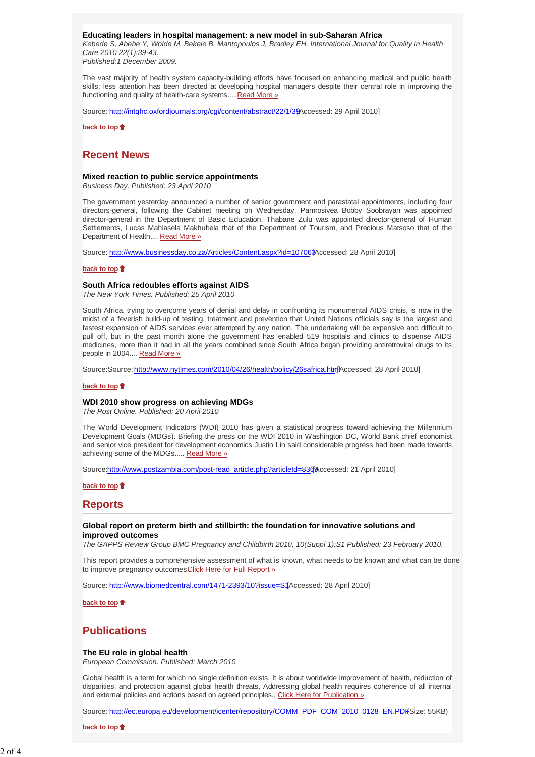### **Educating leaders in hospital management: a new model in sub-Saharan Africa**

*Kebede S, Abebe Y, Wolde M, Bekele B, Mantopoulos J, Bradley EH. International Journal for Quality in Health Care 2010 22(1):39-43.* 

*Published:1 December 2009.*

The vast majority of health system capacity-building efforts have focused on enhancing medical and public health skills; less attention has been directed at developing hospital managers despite their central role in improving the functioning and quality of health-care systems.....Read More »

Source: http://intqhc.oxfordjournals.org/cgi/content/abstract/22/1/39 Accessed: 29 April 2010]

**back to top**

### **Recent News**

### **Mixed reaction to public service appointments**

*Business Day. Published: 23 April 2010*

The government yesterday announced a number of senior government and parastatal appointments, including four directors-general, following the Cabinet meeting on Wednesday. Parmosivea Bobby Soobrayan was appointed director-general in the Department of Basic Education, Thabane Zulu was appointed director-general of Human Settlements, Lucas Mahlasela Makhubela that of the Department of Tourism, and Precious Matsoso that of the Department of Health.... Read More »

Source: http://www.businessday.co.za/Articles/Content.aspx?id=10706\$Accessed: 28 April 2010]

### **back to top**

### **South Africa redoubles efforts against AIDS**

*The New York Times. Published: 25 April 2010*

South Africa, trying to overcome years of denial and delay in confronting its monumental AIDS crisis, is now in the midst of a feverish build-up of testing, treatment and prevention that United Nations officials say is the largest and fastest expansion of AIDS services ever attempted by any nation. The undertaking will be expensive and difficult to pull off, but in the past month alone the government has enabled 519 hospitals and clinics to dispense AIDS medicines, more than it had in all the years combined since South Africa began providing antiretroviral drugs to its people in 2004.... Read More »

Source: Source: http://www.nytimes.com/2010/04/26/health/policy/26safrica.html Accessed: 28 April 2010]

#### **back to top**

### **WDI 2010 show progress on achieving MDGs**

*The Post Online. Published: 20 April 2010*

The World Development Indicators (WDI) 2010 has given a statistical progress toward achieving the Millennium Development Goals (MDGs). Briefing the press on the WDI 2010 in Washington DC, World Bank chief economist and senior vice president for development economics Justin Lin said considerable progress had been made towards achieving some of the MDGs..... Read More »

Source:http://www.postzambia.com/post-read\_article.php?articleId=8369Accessed: 21 April 2010]

**back to top**

### **Reports**

#### **Global report on preterm birth and stillbirth: the foundation for innovative solutions and improved outcomes**

*The GAPPS Review Group BMC Pregnancy and Childbirth 2010, 10(Suppl 1):S1 Published: 23 February 2010.* 

This report provides a comprehensive assessment of what is known, what needs to be known and what can be done to improve pregnancy outcomes. Click Here for Full Report »

Source: http://www.biomedcentral.com/1471-2393/10?issue=S1Accessed: 28 April 2010]

**back to top**

### **Publications**

#### **The EU role in global health**

*European Commission. Published: March 2010*

Global health is a term for which no single definition exists. It is about worldwide improvement of health, reduction of disparities, and protection against global health threats. Addressing global health requires coherence of all internal and external policies and actions based on agreed principles.. Click Here for Publication »

Source: http://ec.europa.eu/development/icenter/repository/COMM\_PDF\_COM\_2010\_0128\_EN.PDF Size: 55KB)

**back to top**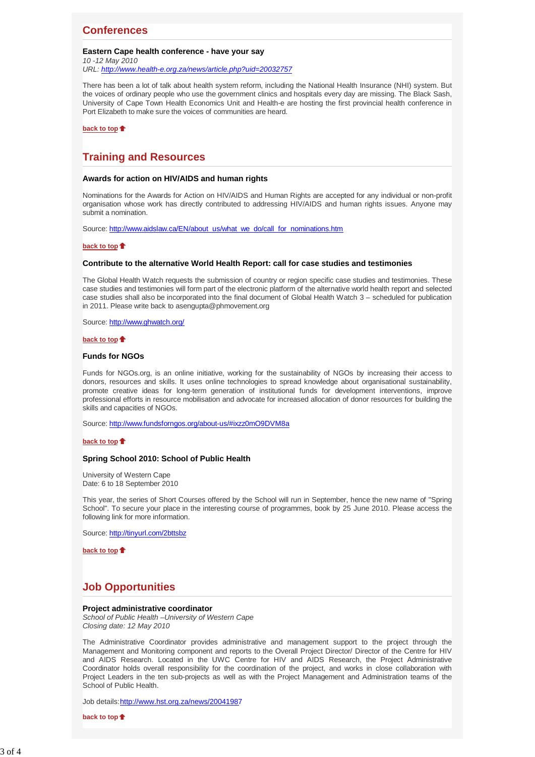## **Conferences**

### **Eastern Cape health conference - have your say**

*10 -12 May 2010 URL: http://www.health-e.org.za/news/article.php?uid=20032757*

There has been a lot of talk about health system reform, including the National Health Insurance (NHI) system. But the voices of ordinary people who use the government clinics and hospitals every day are missing. The Black Sash, University of Cape Town Health Economics Unit and Health-e are hosting the first provincial health conference in Port Elizabeth to make sure the voices of communities are heard.

**back to top**

# **Training and Resources**

### **Awards for action on HIV/AIDS and human rights**

Nominations for the Awards for Action on HIV/AIDS and Human Rights are accepted for any individual or non-profit organisation whose work has directly contributed to addressing HIV/AIDS and human rights issues. Anyone may submit a nomination.

Source: http://www.aidslaw.ca/EN/about\_us/what\_we\_do/call\_for\_nominations.htm

### **back to top**

### **Contribute to the alternative World Health Report: call for case studies and testimonies**

The Global Health Watch requests the submission of country or region specific case studies and testimonies. These case studies and testimonies will form part of the electronic platform of the alternative world health report and selected case studies shall also be incorporated into the final document of Global Health Watch 3 – scheduled for publication in 2011. Please write back to asengupta@phmovement.org

Source: http://www.ghwatch.org/

### **back to top**

### **Funds for NGOs**

Funds for NGOs.org, is an online initiative, working for the sustainability of NGOs by increasing their access to donors, resources and skills. It uses online technologies to spread knowledge about organisational sustainability, promote creative ideas for long-term generation of institutional funds for development interventions, improve professional efforts in resource mobilisation and advocate for increased allocation of donor resources for building the skills and capacities of NGOs.

Source: http://www.fundsforngos.org/about-us/#ixzz0mO9DVM8a

### **back to top**

### **Spring School 2010: School of Public Health**

University of Western Cape Date: 6 to 18 September 2010

This year, the series of Short Courses offered by the School will run in September, hence the new name of "Spring School". To secure your place in the interesting course of programmes, book by 25 June 2010. Please access the following link for more information.

Source: http://tinyurl.com/2bttsbz

**back to top**

# **Job Opportunities**

### **Project administrative coordinator**

*School of Public Health –University of Western Cape Closing date: 12 May 2010*

The Administrative Coordinator provides administrative and management support to the project through the Management and Monitoring component and reports to the Overall Project Director/ Director of the Centre for HIV and AIDS Research. Located in the UWC Centre for HIV and AIDS Research, the Project Administrative Coordinator holds overall responsibility for the coordination of the project, and works in close collaboration with Project Leaders in the ten sub-projects as well as with the Project Management and Administration teams of the School of Public Health.

Job details: http://www.hst.org.za/news/20041987

**back to top**